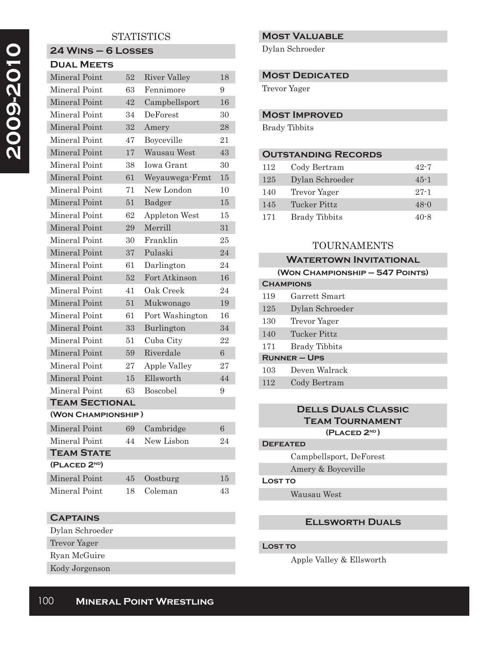# **STATISTICS**

## **24 Wins – 6 Losses Dual Meets**

| <b>Mineral Point</b>      | 52 | <b>River Valley</b>  | 18 |
|---------------------------|----|----------------------|----|
| Mineral Point             | 63 | Fennimore            | 9  |
| Mineral Point             | 42 | Campbellsport        | 16 |
| Mineral Point             | 34 | DeForest             | 30 |
| Mineral Point             | 32 | Amery                | 28 |
| Mineral Point             | 47 | Boyceville           | 21 |
| Mineral Point             | 17 | Wausau West          | 43 |
| Mineral Point             | 38 | Iowa Grant           | 30 |
| Mineral Point             | 61 | Weyauwega-Frmt       | 15 |
| Mineral Point             | 71 | New London           | 10 |
| Mineral Point             | 51 | Badger               | 15 |
| Mineral Point             | 62 | <b>Appleton West</b> | 15 |
| Mineral Point             | 29 | Merrill              | 31 |
| Mineral Point             | 30 | Franklin             | 25 |
| Mineral Point             | 37 | Pulaski              | 24 |
| Mineral Point             | 61 | Darlington           | 24 |
| Mineral Point             | 52 | Fort Atkinson        | 16 |
| Mineral Point             | 41 | Oak Creek            | 24 |
| Mineral Point             | 51 | Mukwonago            | 19 |
| Mineral Point             | 61 | Port Washington      | 16 |
| Mineral Point             | 33 | Burlington           | 34 |
| Mineral Point             | 51 | Cuba City            | 22 |
| Mineral Point             | 59 | Riverdale            | 6  |
| Mineral Point             | 27 | Apple Valley         | 27 |
| Mineral Point             | 15 | Ellsworth            | 44 |
| Mineral Point             | 63 | Boscobel             | 9  |
| <b>TEAM SECTIONAL</b>     |    |                      |    |
| (WON CHAMPIONSHIP)        |    |                      |    |
| <b>Mineral Point</b>      | 69 | Cambridge            | 6  |
| Mineral Point             | 44 | New Lisbon           | 24 |
| <b>TEAM STATE</b>         |    |                      |    |
| (PLACED 2 <sup>ND</sup> ) |    |                      |    |
| Mineral Point             | 45 | Oostburg             | 15 |
| Mineral Point             | 18 | Coleman              | 43 |

# **Captains**

Dylan Schroeder Trevor Yager Ryan McGuire

Kody Jorgenson

# **Most Valuable**

Dylan Schroeder

### **MOST DEDICATED**

Trevor Yager

## **Most Improved**

Brady Tibbits

# **Outstanding Records**

| 112 | Cody Bertram         | $42 - 7$ |
|-----|----------------------|----------|
| 125 | Dylan Schroeder      | $45 - 1$ |
| 140 | Trevor Yager         | $27 - 1$ |
| 145 | Tucker Pittz         | $48 - 0$ |
| 171 | <b>Brady Tibbits</b> | 40-8     |

# TOURNAMENTS

|                                 | <b>WATERTOWN INVITATIONAL</b> |  |  |  |
|---------------------------------|-------------------------------|--|--|--|
| (WON CHAMPIONSHIP - 547 POINTS) |                               |  |  |  |
| <b>CHAMPIONS</b>                |                               |  |  |  |
| 119                             | Garrett Smart                 |  |  |  |
| 125                             | Dylan Schroeder               |  |  |  |
| 130                             | Trevor Yager                  |  |  |  |
| 140                             | Tucker Pittz                  |  |  |  |
| 171                             | <b>Brady Tibbits</b>          |  |  |  |
| <b>RUNNER-UPS</b>               |                               |  |  |  |
| 103                             | Deven Walrack                 |  |  |  |
| 112                             | Cody Bertram                  |  |  |  |
|                                 |                               |  |  |  |

## **Dells Duals Classic Team Tournament (Placed 2nd )**

#### **Defeated**

Campbellsport, DeForest

# Amery & Boyceville

## **Lost to**

Wausau West

## **Ellsworth Duals**

### **Lost to**

Apple Valley & Ellsworth